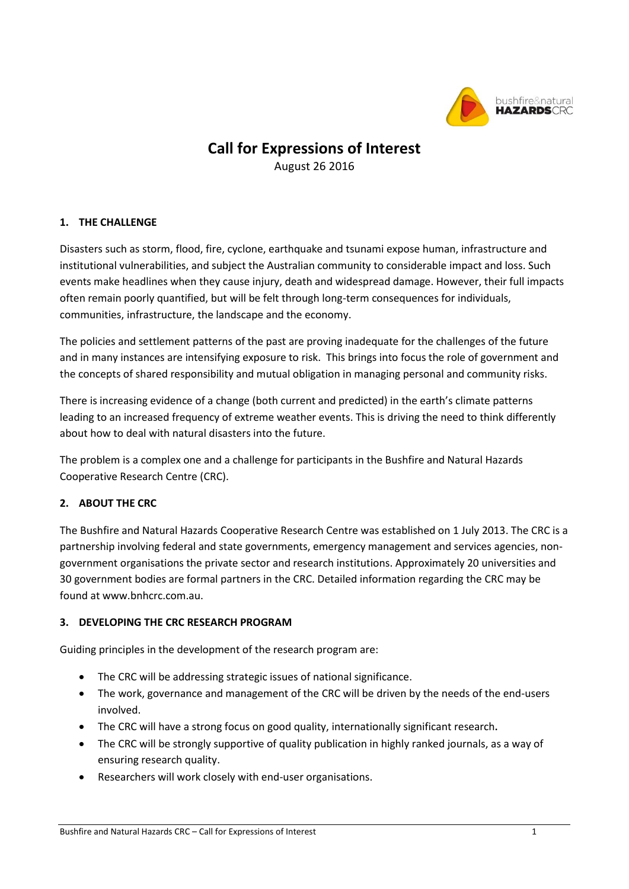

## **Call for Expressions of Interest**

August 26 2016

## **1. THE CHALLENGE**

Disasters such as storm, flood, fire, cyclone, earthquake and tsunami expose human, infrastructure and institutional vulnerabilities, and subject the Australian community to considerable impact and loss. Such events make headlines when they cause injury, death and widespread damage. However, their full impacts often remain poorly quantified, but will be felt through long-term consequences for individuals, communities, infrastructure, the landscape and the economy.

The policies and settlement patterns of the past are proving inadequate for the challenges of the future and in many instances are intensifying exposure to risk. This brings into focus the role of government and the concepts of shared responsibility and mutual obligation in managing personal and community risks.

There is increasing evidence of a change (both current and predicted) in the earth's climate patterns leading to an increased frequency of extreme weather events. This is driving the need to think differently about how to deal with natural disasters into the future.

The problem is a complex one and a challenge for participants in the Bushfire and Natural Hazards Cooperative Research Centre (CRC).

## **2. ABOUT THE CRC**

The Bushfire and Natural Hazards Cooperative Research Centre was established on 1 July 2013. The CRC is a partnership involving federal and state governments, emergency management and services agencies, nongovernment organisations the private sector and research institutions. Approximately 20 universities and 30 government bodies are formal partners in the CRC. Detailed information regarding the CRC may be found at www.bnhcrc.com.au.

### **3. DEVELOPING THE CRC RESEARCH PROGRAM**

Guiding principles in the development of the research program are:

- The CRC will be addressing strategic issues of national significance.
- The work, governance and management of the CRC will be driven by the needs of the end-users involved.
- The CRC will have a strong focus on good quality, internationally significant research**.**
- The CRC will be strongly supportive of quality publication in highly ranked journals, as a way of ensuring research quality.
- Researchers will work closely with end-user organisations.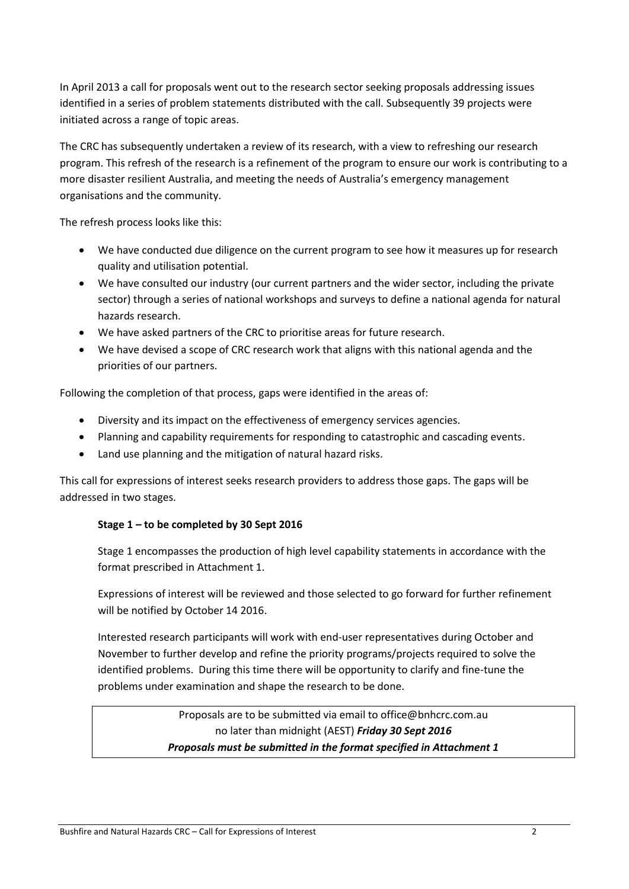In April 2013 a call for proposals went out to the research sector seeking proposals addressing issues identified in a series of problem statements distributed with the call. Subsequently 39 projects were initiated across a range of topic areas.

The CRC has subsequently undertaken a review of its research, with a view to refreshing our research program. This refresh of the research is a refinement of the program to ensure our work is contributing to a more disaster resilient Australia, and meeting the needs of Australia's emergency management organisations and the community.

The refresh process looks like this:

- We have conducted due diligence on the current program to see how it measures up for research quality and utilisation potential.
- We have consulted our industry (our current partners and the wider sector, including the private sector) through a series of national workshops and surveys to define a national agenda for natural hazards research.
- We have asked partners of the CRC to prioritise areas for future research.
- We have devised a scope of CRC research work that aligns with this national agenda and the priorities of our partners.

Following the completion of that process, gaps were identified in the areas of:

- Diversity and its impact on the effectiveness of emergency services agencies.
- Planning and capability requirements for responding to catastrophic and cascading events.
- Land use planning and the mitigation of natural hazard risks.

This call for expressions of interest seeks research providers to address those gaps. The gaps will be addressed in two stages.

#### **Stage 1 – to be completed by 30 Sept 2016**

Stage 1 encompasses the production of high level capability statements in accordance with the format prescribed in Attachment 1.

Expressions of interest will be reviewed and those selected to go forward for further refinement will be notified by October 14 2016.

Interested research participants will work with end-user representatives during October and November to further develop and refine the priority programs/projects required to solve the identified problems. During this time there will be opportunity to clarify and fine-tune the problems under examination and shape the research to be done.

> Proposals are to be submitted via email to office@bnhcrc.com.au no later than midnight (AEST) *Friday 30 Sept 2016 Proposals must be submitted in the format specified in Attachment 1*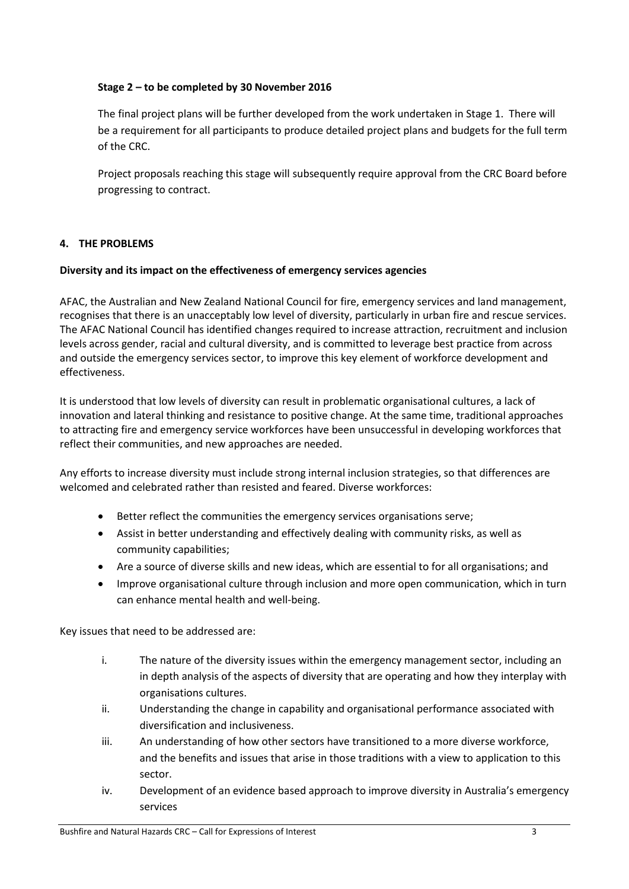#### **Stage 2 – to be completed by 30 November 2016**

The final project plans will be further developed from the work undertaken in Stage 1. There will be a requirement for all participants to produce detailed project plans and budgets for the full term of the CRC.

Project proposals reaching this stage will subsequently require approval from the CRC Board before progressing to contract.

#### **4. THE PROBLEMS**

#### **Diversity and its impact on the effectiveness of emergency services agencies**

AFAC, the Australian and New Zealand National Council for fire, emergency services and land management, recognises that there is an unacceptably low level of diversity, particularly in urban fire and rescue services. The AFAC National Council has identified changes required to increase attraction, recruitment and inclusion levels across gender, racial and cultural diversity, and is committed to leverage best practice from across and outside the emergency services sector, to improve this key element of workforce development and effectiveness.

It is understood that low levels of diversity can result in problematic organisational cultures, a lack of innovation and lateral thinking and resistance to positive change. At the same time, traditional approaches to attracting fire and emergency service workforces have been unsuccessful in developing workforces that reflect their communities, and new approaches are needed.

Any efforts to increase diversity must include strong internal inclusion strategies, so that differences are welcomed and celebrated rather than resisted and feared. Diverse workforces:

- Better reflect the communities the emergency services organisations serve;
- Assist in better understanding and effectively dealing with community risks, as well as community capabilities;
- Are a source of diverse skills and new ideas, which are essential to for all organisations; and
- Improve organisational culture through inclusion and more open communication, which in turn can enhance mental health and well-being.

Key issues that need to be addressed are:

- i. The nature of the diversity issues within the emergency management sector, including an in depth analysis of the aspects of diversity that are operating and how they interplay with organisations cultures.
- ii. Understanding the change in capability and organisational performance associated with diversification and inclusiveness.
- iii. An understanding of how other sectors have transitioned to a more diverse workforce, and the benefits and issues that arise in those traditions with a view to application to this sector.
- iv. Development of an evidence based approach to improve diversity in Australia's emergency services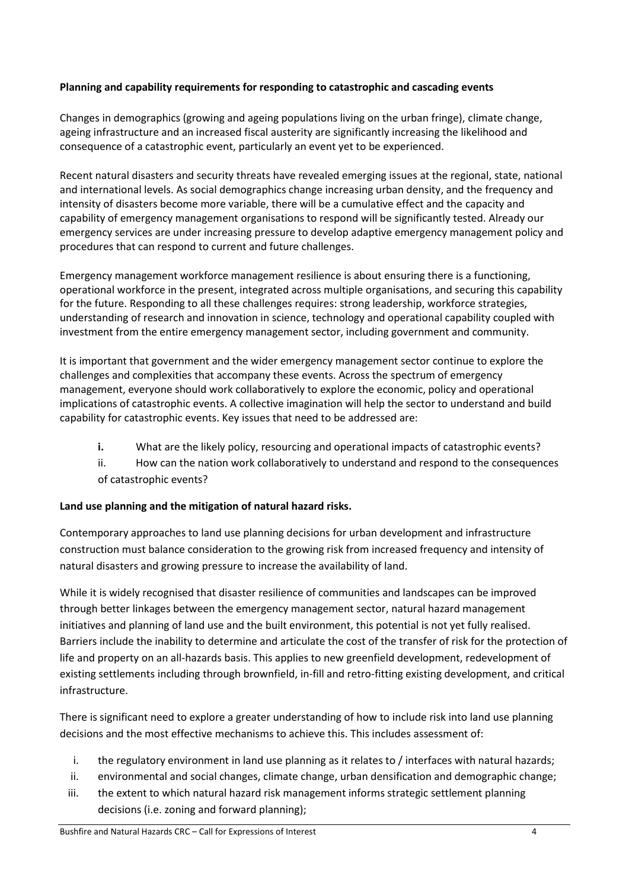## **Planning and capability requirements for responding to catastrophic and cascading events**

Changes in demographics (growing and ageing populations living on the urban fringe), climate change, ageing infrastructure and an increased fiscal austerity are significantly increasing the likelihood and consequence of a catastrophic event, particularly an event yet to be experienced.

Recent natural disasters and security threats have revealed emerging issues at the regional, state, national and international levels. As social demographics change increasing urban density, and the frequency and intensity of disasters become more variable, there will be a cumulative effect and the capacity and capability of emergency management organisations to respond will be significantly tested. Already our emergency services are under increasing pressure to develop adaptive emergency management policy and procedures that can respond to current and future challenges.

Emergency management workforce management resilience is about ensuring there is a functioning, operational workforce in the present, integrated across multiple organisations, and securing this capability for the future. Responding to all these challenges requires: strong leadership, workforce strategies, understanding of research and innovation in science, technology and operational capability coupled with investment from the entire emergency management sector, including government and community.

It is important that government and the wider emergency management sector continue to explore the challenges and complexities that accompany these events. Across the spectrum of emergency management, everyone should work collaboratively to explore the economic, policy and operational implications of catastrophic events. A collective imagination will help the sector to understand and build capability for catastrophic events. Key issues that need to be addressed are:

- **i.** What are the likely policy, resourcing and operational impacts of catastrophic events?
- ii. How can the nation work collaboratively to understand and respond to the consequences of catastrophic events?

## **Land use planning and the mitigation of natural hazard risks.**

Contemporary approaches to land use planning decisions for urban development and infrastructure construction must balance consideration to the growing risk from increased frequency and intensity of natural disasters and growing pressure to increase the availability of land.

While it is widely recognised that disaster resilience of communities and landscapes can be improved through better linkages between the emergency management sector, natural hazard management initiatives and planning of land use and the built environment, this potential is not yet fully realised. Barriers include the inability to determine and articulate the cost of the transfer of risk for the protection of life and property on an all-hazards basis. This applies to new greenfield development, redevelopment of existing settlements including through brownfield, in-fill and retro-fitting existing development, and critical infrastructure.

There is significant need to explore a greater understanding of how to include risk into land use planning decisions and the most effective mechanisms to achieve this. This includes assessment of:

- i. the regulatory environment in land use planning as it relates to / interfaces with natural hazards;
- ii. environmental and social changes, climate change, urban densification and demographic change;
- iii. the extent to which natural hazard risk management informs strategic settlement planning decisions (i.e. zoning and forward planning);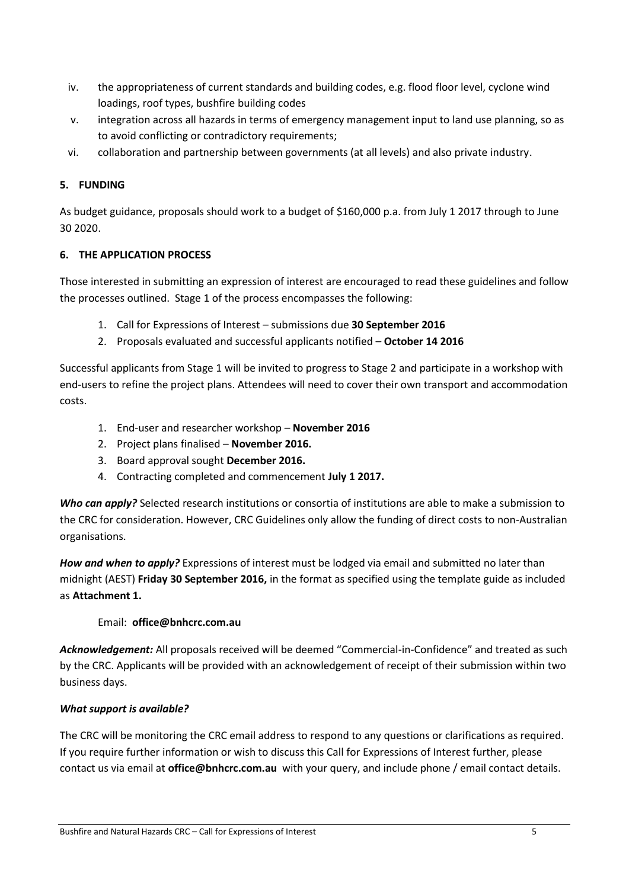- iv. the appropriateness of current standards and building codes, e.g. flood floor level, cyclone wind loadings, roof types, bushfire building codes
- v. integration across all hazards in terms of emergency management input to land use planning, so as to avoid conflicting or contradictory requirements;
- vi. collaboration and partnership between governments (at all levels) and also private industry.

## **5. FUNDING**

As budget guidance, proposals should work to a budget of \$160,000 p.a. from July 1 2017 through to June 30 2020.

## **6. THE APPLICATION PROCESS**

Those interested in submitting an expression of interest are encouraged to read these guidelines and follow the processes outlined. Stage 1 of the process encompasses the following:

- 1. Call for Expressions of Interest submissions due **30 September 2016**
- 2. Proposals evaluated and successful applicants notified **October 14 2016**

Successful applicants from Stage 1 will be invited to progress to Stage 2 and participate in a workshop with end-users to refine the project plans. Attendees will need to cover their own transport and accommodation costs.

- 1. End-user and researcher workshop **November 2016**
- 2. Project plans finalised **November 2016.**
- 3. Board approval sought **December 2016.**
- 4. Contracting completed and commencement **July 1 2017.**

*Who can apply?* Selected research institutions or consortia of institutions are able to make a submission to the CRC for consideration. However, CRC Guidelines only allow the funding of direct costs to non-Australian organisations.

*How and when to apply?* Expressions of interest must be lodged via email and submitted no later than midnight (AEST) **Friday 30 September 2016,** in the format as specified using the template guide as included as **Attachment 1.**

## Email: **office@bnhcrc.com.au**

*Acknowledgement:* All proposals received will be deemed "Commercial-in-Confidence" and treated as such by the CRC. Applicants will be provided with an acknowledgement of receipt of their submission within two business days.

## *What support is available?*

The CRC will be monitoring the CRC email address to respond to any questions or clarifications as required. If you require further information or wish to discuss this Call for Expressions of Interest further, please contact us via email at **office@bnhcrc.com.au** with your query, and include phone / email contact details.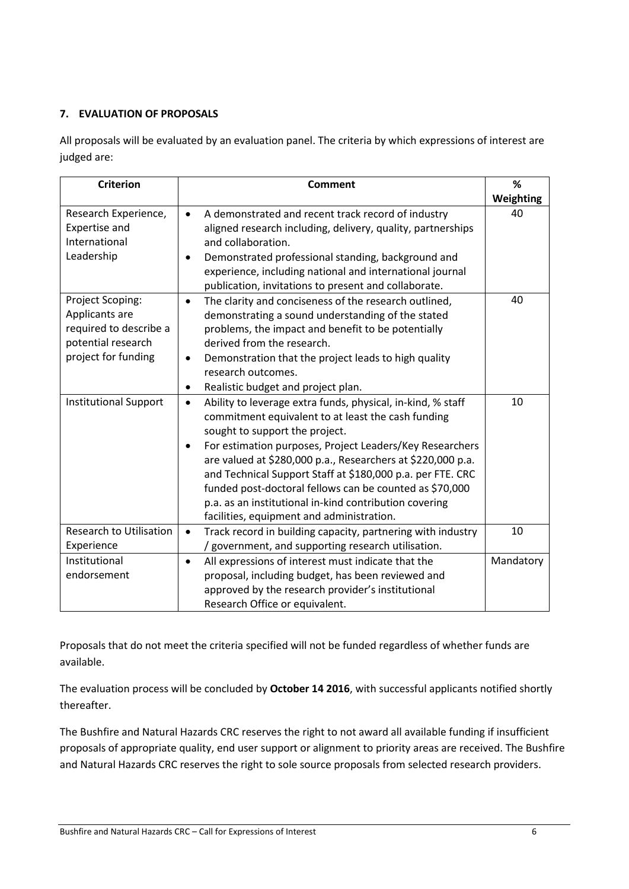## **7. EVALUATION OF PROPOSALS**

All proposals will be evaluated by an evaluation panel. The criteria by which expressions of interest are judged are:

| <b>Criterion</b>                                                                                          | <b>Comment</b>                                                                                                                                                                                                                                                                                                                                                                                                                                                                                                                           | %         |
|-----------------------------------------------------------------------------------------------------------|------------------------------------------------------------------------------------------------------------------------------------------------------------------------------------------------------------------------------------------------------------------------------------------------------------------------------------------------------------------------------------------------------------------------------------------------------------------------------------------------------------------------------------------|-----------|
|                                                                                                           |                                                                                                                                                                                                                                                                                                                                                                                                                                                                                                                                          | Weighting |
| Research Experience,<br><b>Expertise and</b><br>International<br>Leadership                               | A demonstrated and recent track record of industry<br>$\bullet$<br>aligned research including, delivery, quality, partnerships<br>and collaboration.<br>Demonstrated professional standing, background and<br>experience, including national and international journal<br>publication, invitations to present and collaborate.                                                                                                                                                                                                           | 40        |
| Project Scoping:<br>Applicants are<br>required to describe a<br>potential research<br>project for funding | The clarity and conciseness of the research outlined,<br>$\bullet$<br>demonstrating a sound understanding of the stated<br>problems, the impact and benefit to be potentially<br>derived from the research.<br>Demonstration that the project leads to high quality<br>$\bullet$<br>research outcomes.<br>Realistic budget and project plan.<br>$\bullet$                                                                                                                                                                                | 40        |
| <b>Institutional Support</b>                                                                              | Ability to leverage extra funds, physical, in-kind, % staff<br>$\bullet$<br>commitment equivalent to at least the cash funding<br>sought to support the project.<br>For estimation purposes, Project Leaders/Key Researchers<br>$\bullet$<br>are valued at \$280,000 p.a., Researchers at \$220,000 p.a.<br>and Technical Support Staff at \$180,000 p.a. per FTE. CRC<br>funded post-doctoral fellows can be counted as \$70,000<br>p.a. as an institutional in-kind contribution covering<br>facilities, equipment and administration. | 10        |
| <b>Research to Utilisation</b><br>Experience                                                              | Track record in building capacity, partnering with industry<br>$\bullet$<br>/ government, and supporting research utilisation.                                                                                                                                                                                                                                                                                                                                                                                                           | 10        |
| Institutional<br>endorsement                                                                              | All expressions of interest must indicate that the<br>$\bullet$<br>proposal, including budget, has been reviewed and<br>approved by the research provider's institutional<br>Research Office or equivalent.                                                                                                                                                                                                                                                                                                                              | Mandatory |

Proposals that do not meet the criteria specified will not be funded regardless of whether funds are available.

The evaluation process will be concluded by **October 14 2016**, with successful applicants notified shortly thereafter.

The Bushfire and Natural Hazards CRC reserves the right to not award all available funding if insufficient proposals of appropriate quality, end user support or alignment to priority areas are received. The Bushfire and Natural Hazards CRC reserves the right to sole source proposals from selected research providers.